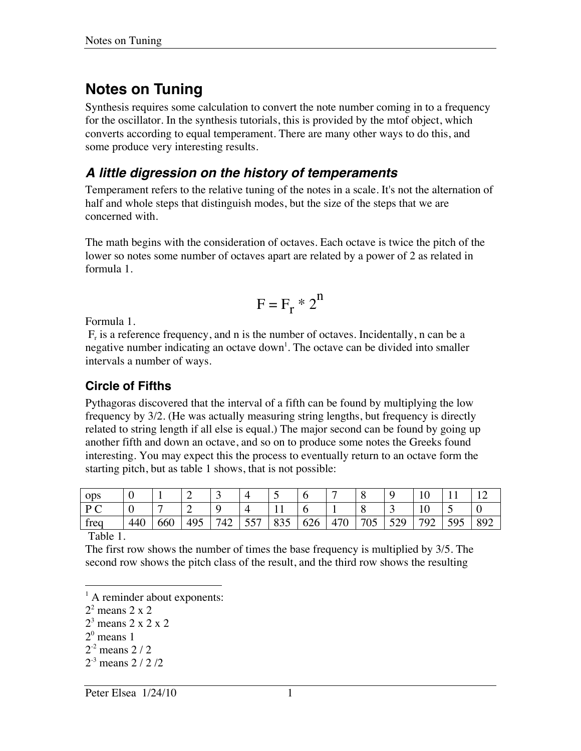# **Notes on Tuning**

Synthesis requires some calculation to convert the note number coming in to a frequency for the oscillator. In the synthesis tutorials, this is provided by the mtof object, which converts according to equal temperament. There are many other ways to do this, and some produce very interesting results.

### *A little digression on the history of temperaments*

Temperament refers to the relative tuning of the notes in a scale. It's not the alternation of half and whole steps that distinguish modes, but the size of the steps that we are concerned with.

The math begins with the consideration of octaves. Each octave is twice the pitch of the lower so notes some number of octaves apart are related by a power of 2 as related in formula 1.

$$
F = F_r * 2^n
$$

Formula 1.

 $F_r$  is a reference frequency, and n is the number of octaves. Incidentally, n can be a negative number indicating an octave down<sup>1</sup>. The octave can be divided into smaller intervals a number of ways.

#### **Circle of Fifths**

Pythagoras discovered that the interval of a fifth can be found by multiplying the low frequency by 3/2. (He was actually measuring string lengths, but frequency is directly related to string length if all else is equal.) The major second can be found by going up another fifth and down an octave, and so on to produce some notes the Greeks found interesting. You may expect this the process to eventually return to an octave form the starting pitch, but as table 1 shows, that is not possible:

| <b>ODS</b>              |     |     |     | ັ   |             | $\overline{\phantom{a}}$ |               |            | ω   |               | 1 V      |                          |     |
|-------------------------|-----|-----|-----|-----|-------------|--------------------------|---------------|------------|-----|---------------|----------|--------------------------|-----|
| $D \cap$<br>$\check{ }$ |     |     |     |     |             |                          |               |            | v   | ັ             | 1Ψ       | $\overline{\phantom{a}}$ |     |
| $\sim$<br>treq          | 440 | 660 | 495 | 742 | 557<br>ا در | 835                      | $\sim$<br>626 | 170<br>4/0 | 705 | 520<br>ر بے ر | 792<br>ے | 595                      | 892 |
|                         |     |     |     |     |             |                          |               |            |     |               |          |                          |     |

Table 1.

The first row shows the number of times the base frequency is multiplied by 3/5. The second row shows the pitch class of the result, and the third row shows the resulting

 $2^{\circ}$  means 1

<sup>|&</sup>lt;br>|<br>|  $<sup>1</sup>$  A reminder about exponents:</sup>

 $2^2$  means 2 x 2

 $2<sup>3</sup>$  means 2 x 2 x 2

 $2^{-2}$  means 2 / 2

 $2^{-3}$  means  $2/2/2$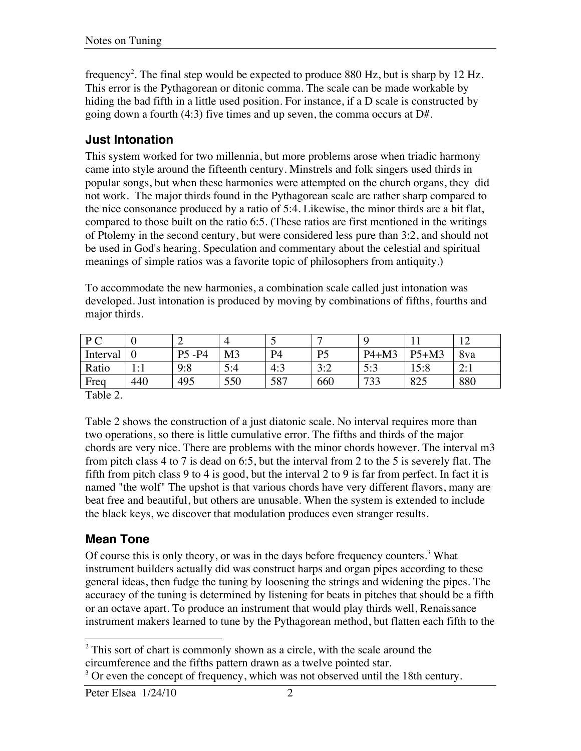frequency<sup>2</sup>. The final step would be expected to produce 880 Hz, but is sharp by 12 Hz. This error is the Pythagorean or ditonic comma. The scale can be made workable by hiding the bad fifth in a little used position. For instance, if a D scale is constructed by going down a fourth (4:3) five times and up seven, the comma occurs at  $D#$ .

#### **Just Intonation**

This system worked for two millennia, but more problems arose when triadic harmony came into style around the fifteenth century. Minstrels and folk singers used thirds in popular songs, but when these harmonies were attempted on the church organs, they did not work. The major thirds found in the Pythagorean scale are rather sharp compared to the nice consonance produced by a ratio of 5:4. Likewise, the minor thirds are a bit flat, compared to those built on the ratio 6:5. (These ratios are first mentioned in the writings of Ptolemy in the second century, but were considered less pure than 3:2, and should not be used in God's hearing. Speculation and commentary about the celestial and spiritual meanings of simple ratios was a favorite topic of philosophers from antiquity.)

To accommodate the new harmonies, a combination scale called just intonation was developed. Just intonation is produced by moving by combinations of fifths, fourths and major thirds.

| $D \cap$ |     |        |     |     |                        | L            |         |               |
|----------|-----|--------|-----|-----|------------------------|--------------|---------|---------------|
| Interval |     | P5 -P4 | M3  | P4  | D5                     | $P4+M3$      | $P5+M3$ | 8va           |
| Ratio    | .   | 9:8    | 5:4 | 4:3 | 2.0<br>$\cup$ . $\sim$ | 5.3<br>ں ، ب | 15:8    | ົາ. 1<br>2. l |
| Freq     | 440 | 495    | 550 | 587 | 660                    | 733          | 825     | 880           |

Table 2.

Table 2 shows the construction of a just diatonic scale. No interval requires more than two operations, so there is little cumulative error. The fifths and thirds of the major chords are very nice. There are problems with the minor chords however. The interval m3 from pitch class 4 to 7 is dead on 6:5, but the interval from 2 to the 5 is severely flat. The fifth from pitch class 9 to 4 is good, but the interval 2 to 9 is far from perfect. In fact it is named "the wolf" The upshot is that various chords have very different flavors, many are beat free and beautiful, but others are unusable. When the system is extended to include the black keys, we discover that modulation produces even stranger results.

#### **Mean Tone**

Of course this is only theory, or was in the days before frequency counters.<sup>3</sup> What instrument builders actually did was construct harps and organ pipes according to these general ideas, then fudge the tuning by loosening the strings and widening the pipes. The accuracy of the tuning is determined by listening for beats in pitches that should be a fifth or an octave apart. To produce an instrument that would play thirds well, Renaissance instrument makers learned to tune by the Pythagorean method, but flatten each fifth to the

 $\frac{1}{2}$  $2$  This sort of chart is commonly shown as a circle, with the scale around the circumference and the fifths pattern drawn as a twelve pointed star.

 $3$  Or even the concept of frequency, which was not observed until the 18th century.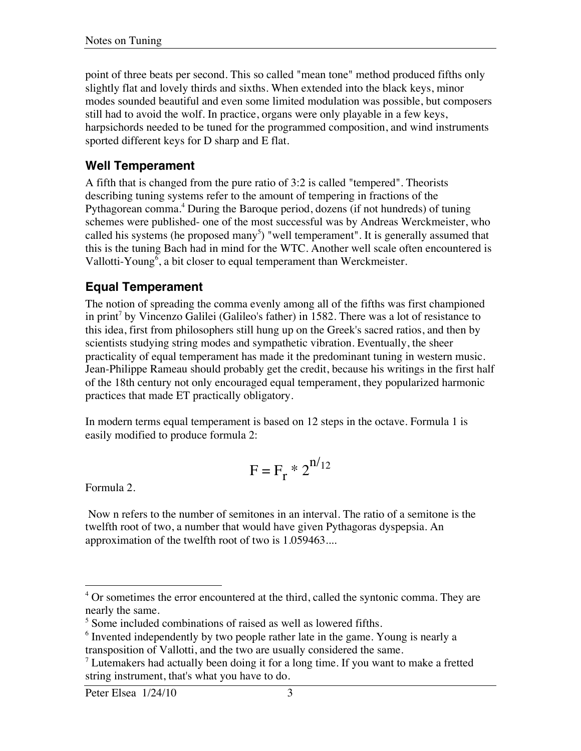point of three beats per second. This so called "mean tone" method produced fifths only slightly flat and lovely thirds and sixths. When extended into the black keys, minor modes sounded beautiful and even some limited modulation was possible, but composers still had to avoid the wolf. In practice, organs were only playable in a few keys, harpsichords needed to be tuned for the programmed composition, and wind instruments sported different keys for D sharp and E flat.

#### **Well Temperament**

A fifth that is changed from the pure ratio of 3:2 is called "tempered". Theorists describing tuning systems refer to the amount of tempering in fractions of the Pythagorean comma.<sup>4</sup> During the Baroque period, dozens (if not hundreds) of tuning schemes were published- one of the most successful was by Andreas Werckmeister, who called his systems (he proposed many<sup>5</sup>) "well temperament". It is generally assumed that this is the tuning Bach had in mind for the WTC. Another well scale often encountered is Vallotti-Young<sup>6</sup>, a bit closer to equal temperament than Werckmeister.

### **Equal Temperament**

The notion of spreading the comma evenly among all of the fifths was first championed in print<sup>7</sup> by Vincenzo Galilei (Galileo's father) in 1582. There was a lot of resistance to this idea, first from philosophers still hung up on the Greek's sacred ratios, and then by scientists studying string modes and sympathetic vibration. Eventually, the sheer practicality of equal temperament has made it the predominant tuning in western music. Jean-Philippe Rameau should probably get the credit, because his writings in the first half of the 18th century not only encouraged equal temperament, they popularized harmonic practices that made ET practically obligatory.

In modern terms equal temperament is based on 12 steps in the octave. Formula 1 is easily modified to produce formula 2:

$$
F = F_r * 2^{n/12}
$$

Formula 2.

 Now n refers to the number of semitones in an interval. The ratio of a semitone is the twelfth root of two, a number that would have given Pythagoras dyspepsia. An approximation of the twelfth root of two is 1.059463....

 $\frac{1}{4}$  $4$  Or sometimes the error encountered at the third, called the syntonic comma. They are nearly the same.

<sup>&</sup>lt;sup>5</sup> Some included combinations of raised as well as lowered fifths.

<sup>&</sup>lt;sup>6</sup> Invented independently by two people rather late in the game. Young is nearly a transposition of Vallotti, and the two are usually considered the same.

 $<sup>7</sup>$  Lutemakers had actually been doing it for a long time. If you want to make a fretted</sup> string instrument, that's what you have to do.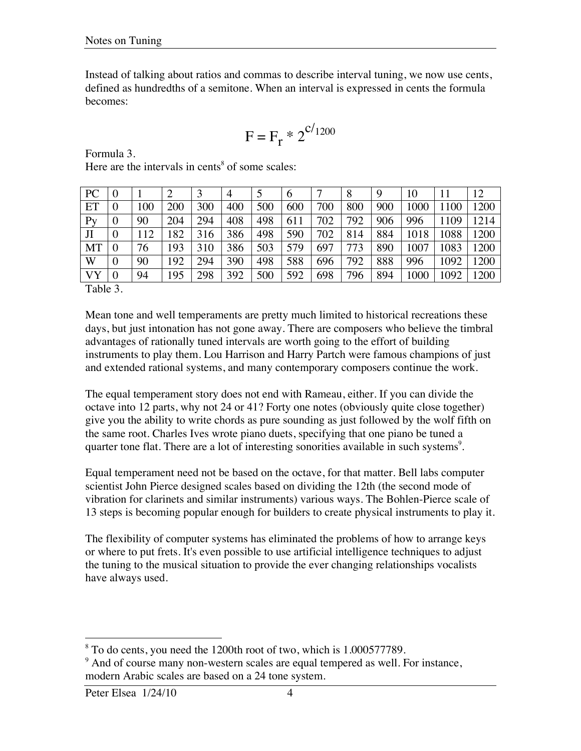Instead of talking about ratios and commas to describe interval tuning, we now use cents, defined as hundredths of a semitone. When an interval is expressed in cents the formula becomes:

$$
F = F_r * 2^{c/1200}
$$

Formula 3.

| PC             | $\theta$         |     |     |     | 4   |     | $\mathfrak b$ | ⇁   | 8   | 9   | 10   |      | 12   |
|----------------|------------------|-----|-----|-----|-----|-----|---------------|-----|-----|-----|------|------|------|
| ET             | 0                | 100 | 200 | 300 | 400 | 500 | 600           | 700 | 800 | 900 | 1000 | 100  | 200  |
| P <sub>V</sub> | $\theta$         | 90  | 204 | 294 | 408 | 498 | 611           | 702 | 792 | 906 | 996  | 109  | 1214 |
| JI             | $\theta$         | 112 | 82  | 316 | 386 | 498 | 590           | 702 | 814 | 884 | 1018 | 1088 | 1200 |
| <b>MT</b>      |                  | 76  | 193 | 310 | 386 | 503 | 579           | 697 | 773 | 890 | 1007 | 1083 | 1200 |
| W              | 0                | 90  | 192 | 294 | 390 | 498 | 588           | 696 | 792 | 888 | 996  | 1092 | 1200 |
| <b>VY</b>      | $\boldsymbol{0}$ | 94  | 195 | 298 | 392 | 500 | 592           | 698 | 796 | 894 | 1000 | 1092 | 1200 |
| $T = 11$       | $\sim$           |     |     |     |     |     |               |     |     |     |      |      |      |

Here are the intervals in cents $<sup>8</sup>$  of some scales:</sup>

Table 3.

Mean tone and well temperaments are pretty much limited to historical recreations these days, but just intonation has not gone away. There are composers who believe the timbral advantages of rationally tuned intervals are worth going to the effort of building instruments to play them. Lou Harrison and Harry Partch were famous champions of just and extended rational systems, and many contemporary composers continue the work.

The equal temperament story does not end with Rameau, either. If you can divide the octave into 12 parts, why not 24 or 41? Forty one notes (obviously quite close together) give you the ability to write chords as pure sounding as just followed by the wolf fifth on the same root. Charles Ives wrote piano duets, specifying that one piano be tuned a quarter tone flat. There are a lot of interesting sonorities available in such systems<sup>9</sup>.

Equal temperament need not be based on the octave, for that matter. Bell labs computer scientist John Pierce designed scales based on dividing the 12th (the second mode of vibration for clarinets and similar instruments) various ways. The Bohlen-Pierce scale of 13 steps is becoming popular enough for builders to create physical instruments to play it.

The flexibility of computer systems has eliminated the problems of how to arrange keys or where to put frets. It's even possible to use artificial intelligence techniques to adjust the tuning to the musical situation to provide the ever changing relationships vocalists have always used.

 <sup>8</sup> To do cents, you need the 1200th root of two, which is 1.000577789.

<sup>&</sup>lt;sup>9</sup> And of course many non-western scales are equal tempered as well. For instance, modern Arabic scales are based on a 24 tone system.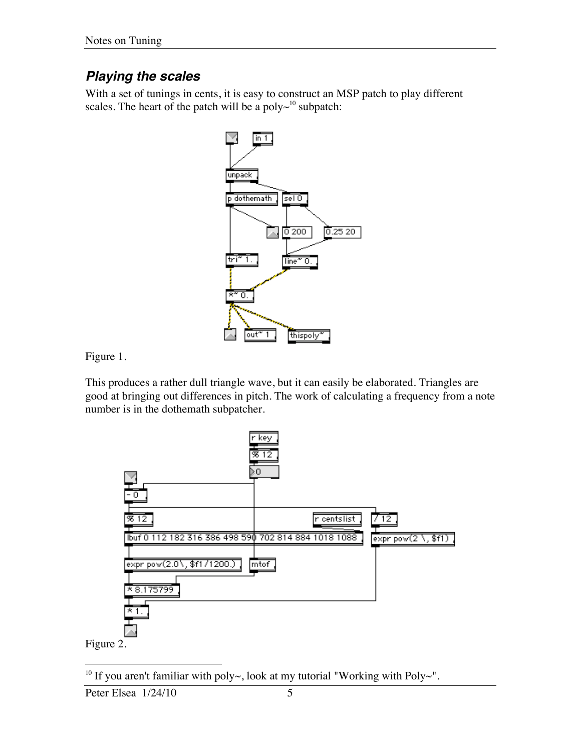## *Playing the scales*

With a set of tunings in cents, it is easy to construct an MSP patch to play different scales. The heart of the patch will be a poly $\sim^{10}$  subpatch:



Figure 1.

This produces a rather dull triangle wave, but it can easily be elaborated. Triangles are good at bringing out differences in pitch. The work of calculating a frequency from a note number is in the dothemath subpatcher.



<sup>10</sup> If you aren't familiar with poly~, look at my tutorial "Working with Poly~".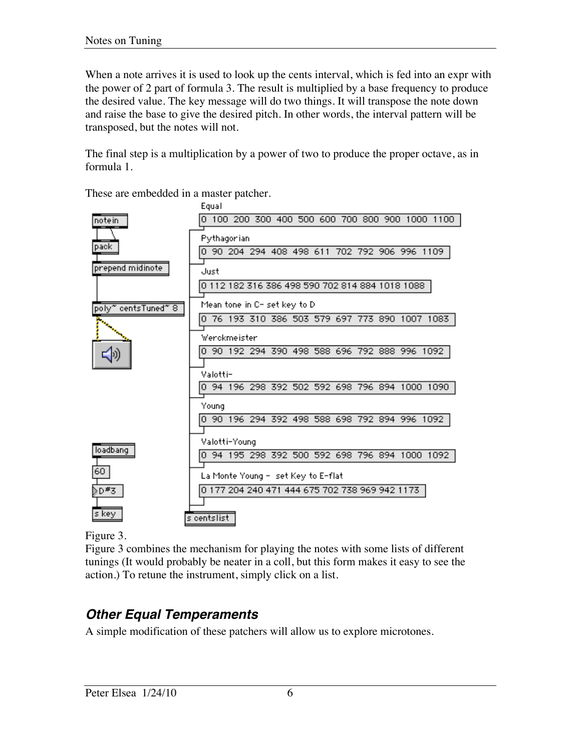When a note arrives it is used to look up the cents interval, which is fed into an expr with the power of 2 part of formula 3. The result is multiplied by a base frequency to produce the desired value. The key message will do two things. It will transpose the note down and raise the base to give the desired pitch. In other words, the interval pattern will be transposed, but the notes will not.

The final step is a multiplication by a power of two to produce the proper octave, as in formula 1.

These are embedded in a master patcher.



Figure 3.

Figure 3 combines the mechanism for playing the notes with some lists of different tunings (It would probably be neater in a coll, but this form makes it easy to see the action.) To retune the instrument, simply click on a list.

## *Other Equal Temperaments*

A simple modification of these patchers will allow us to explore microtones.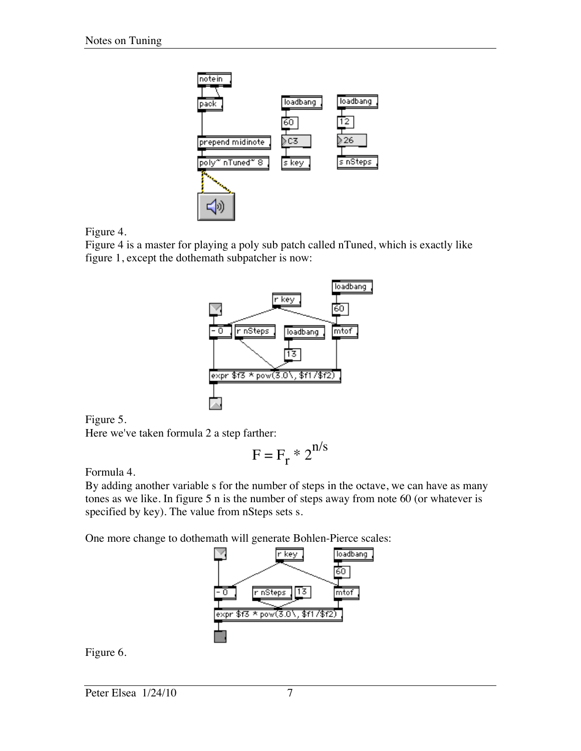

Figure 4.

Figure 4 is a master for playing a poly sub patch called nTuned, which is exactly like figure 1, except the dothemath subpatcher is now:



Figure 5.

Here we've taken formula 2 a step farther:

$$
F = F_r * 2^{n/s}
$$

Formula 4.

By adding another variable s for the number of steps in the octave, we can have as many tones as we like. In figure 5 n is the number of steps away from note 60 (or whatever is specified by key). The value from nSteps sets s.

One more change to dothemath will generate Bohlen-Pierce scales:



Figure 6.